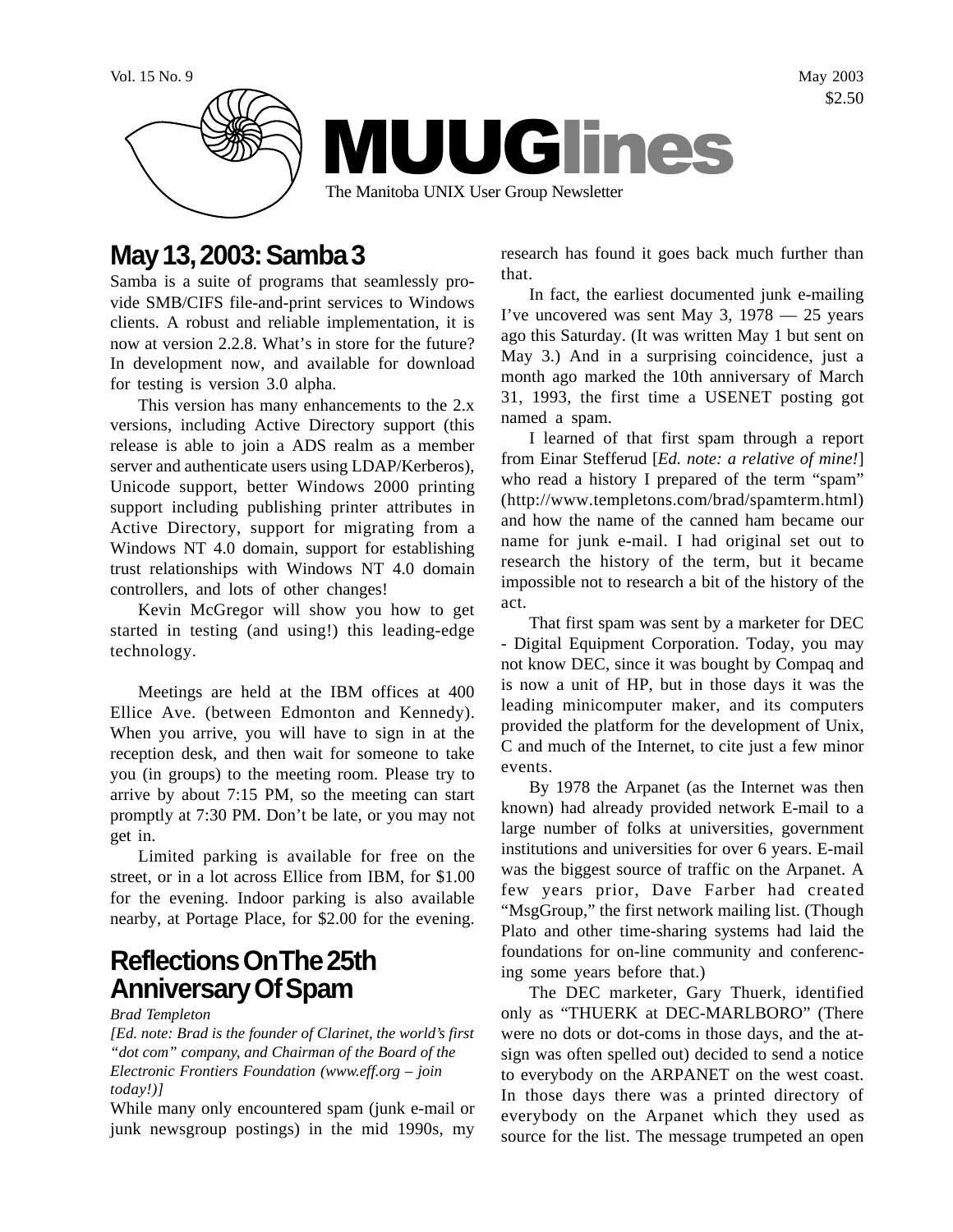

# **May 13, 2003: Samba 3**

Samba is a suite of programs that seamlessly provide SMB/CIFS file-and-print services to Windows clients. A robust and reliable implementation, it is now at version 2.2.8. What's in store for the future? In development now, and available for download for testing is version 3.0 alpha.

This version has many enhancements to the 2.x versions, including Active Directory support (this release is able to join a ADS realm as a member server and authenticate users using LDAP/Kerberos), Unicode support, better Windows 2000 printing support including publishing printer attributes in Active Directory, support for migrating from a Windows NT 4.0 domain, support for establishing trust relationships with Windows NT 4.0 domain controllers, and lots of other changes!

Kevin McGregor will show you how to get started in testing (and using!) this leading-edge technology.

Meetings are held at the IBM offices at 400 Ellice Ave. (between Edmonton and Kennedy). When you arrive, you will have to sign in at the reception desk, and then wait for someone to take you (in groups) to the meeting room. Please try to arrive by about 7:15 PM, so the meeting can start promptly at 7:30 PM. Don't be late, or you may not get in.

Limited parking is available for free on the street, or in a lot across Ellice from IBM, for \$1.00 for the evening. Indoor parking is also available nearby, at Portage Place, for \$2.00 for the evening.

### **Reflections On The 25th Anniversary Of Spam**

*Brad Templeton*

*[Ed. note: Brad is the founder of Clarinet, the world's first "dot com" company, and Chairman of the Board of the Electronic Frontiers Foundation (www.eff.org – join today!)]*

While many only encountered spam (junk e-mail or junk newsgroup postings) in the mid 1990s, my research has found it goes back much further than that.

In fact, the earliest documented junk e-mailing I've uncovered was sent May 3, 1978 — 25 years ago this Saturday. (It was written May 1 but sent on May 3.) And in a surprising coincidence, just a month ago marked the 10th anniversary of March 31, 1993, the first time a USENET posting got named a spam.

I learned of that first spam through a report from Einar Stefferud [*Ed. note: a relative of mine!*] who read a history I prepared of the term "spam" (http://www.templetons.com/brad/spamterm.html) and how the name of the canned ham became our name for junk e-mail. I had original set out to research the history of the term, but it became impossible not to research a bit of the history of the act.

That first spam was sent by a marketer for DEC - Digital Equipment Corporation. Today, you may not know DEC, since it was bought by Compaq and is now a unit of HP, but in those days it was the leading minicomputer maker, and its computers provided the platform for the development of Unix, C and much of the Internet, to cite just a few minor events.

By 1978 the Arpanet (as the Internet was then known) had already provided network E-mail to a large number of folks at universities, government institutions and universities for over 6 years. E-mail was the biggest source of traffic on the Arpanet. A few years prior, Dave Farber had created "MsgGroup," the first network mailing list. (Though Plato and other time-sharing systems had laid the foundations for on-line community and conferencing some years before that.)

The DEC marketer, Gary Thuerk, identified only as "THUERK at DEC-MARLBORO" (There were no dots or dot-coms in those days, and the atsign was often spelled out) decided to send a notice to everybody on the ARPANET on the west coast. In those days there was a printed directory of everybody on the Arpanet which they used as source for the list. The message trumpeted an open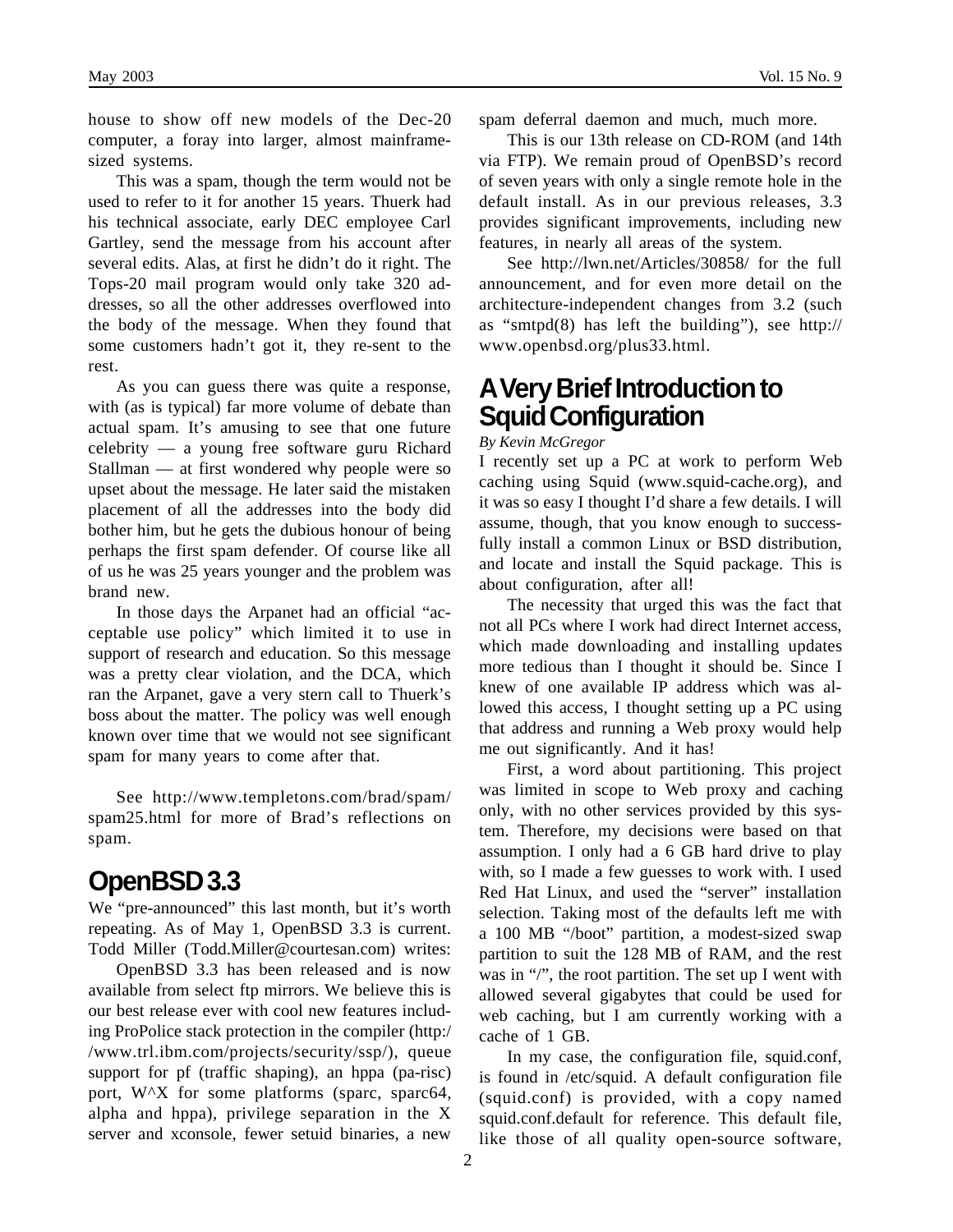house to show off new models of the Dec-20 computer, a foray into larger, almost mainframesized systems.

This was a spam, though the term would not be used to refer to it for another 15 years. Thuerk had his technical associate, early DEC employee Carl Gartley, send the message from his account after several edits. Alas, at first he didn't do it right. The Tops-20 mail program would only take 320 addresses, so all the other addresses overflowed into the body of the message. When they found that some customers hadn't got it, they re-sent to the rest.

As you can guess there was quite a response, with (as is typical) far more volume of debate than actual spam. It's amusing to see that one future celebrity — a young free software guru Richard Stallman — at first wondered why people were so upset about the message. He later said the mistaken placement of all the addresses into the body did bother him, but he gets the dubious honour of being perhaps the first spam defender. Of course like all of us he was 25 years younger and the problem was brand new.

In those days the Arpanet had an official "acceptable use policy" which limited it to use in support of research and education. So this message was a pretty clear violation, and the DCA, which ran the Arpanet, gave a very stern call to Thuerk's boss about the matter. The policy was well enough known over time that we would not see significant spam for many years to come after that.

See http://www.templetons.com/brad/spam/ spam25.html for more of Brad's reflections on spam.

#### **OpenBSD 3.3**

We "pre-announced" this last month, but it's worth repeating. As of May 1, OpenBSD 3.3 is current. Todd Miller (Todd.Miller@courtesan.com) writes:

OpenBSD 3.3 has been released and is now available from select ftp mirrors. We believe this is our best release ever with cool new features including ProPolice stack protection in the compiler (http:/ /www.trl.ibm.com/projects/security/ssp/), queue support for pf (traffic shaping), an hppa (pa-risc) port, W^X for some platforms (sparc, sparc64, alpha and hppa), privilege separation in the X server and xconsole, fewer setuid binaries, a new

spam deferral daemon and much, much more.

This is our 13th release on CD-ROM (and 14th via FTP). We remain proud of OpenBSD's record of seven years with only a single remote hole in the default install. As in our previous releases, 3.3 provides significant improvements, including new features, in nearly all areas of the system.

See http://lwn.net/Articles/30858/ for the full announcement, and for even more detail on the architecture-independent changes from 3.2 (such as "smtpd(8) has left the building"), see http:// www.openbsd.org/plus33.html.

#### **A Very Brief Introduction to Squid Configuration**

#### *By Kevin McGregor*

I recently set up a PC at work to perform Web caching using Squid (www.squid-cache.org), and it was so easy I thought I'd share a few details. I will assume, though, that you know enough to successfully install a common Linux or BSD distribution, and locate and install the Squid package. This is about configuration, after all!

The necessity that urged this was the fact that not all PCs where I work had direct Internet access, which made downloading and installing updates more tedious than I thought it should be. Since I knew of one available IP address which was allowed this access, I thought setting up a PC using that address and running a Web proxy would help me out significantly. And it has!

First, a word about partitioning. This project was limited in scope to Web proxy and caching only, with no other services provided by this system. Therefore, my decisions were based on that assumption. I only had a 6 GB hard drive to play with, so I made a few guesses to work with. I used Red Hat Linux, and used the "server" installation selection. Taking most of the defaults left me with a 100 MB "/boot" partition, a modest-sized swap partition to suit the 128 MB of RAM, and the rest was in "/", the root partition. The set up I went with allowed several gigabytes that could be used for web caching, but I am currently working with a cache of 1 GB.

In my case, the configuration file, squid.conf, is found in /etc/squid. A default configuration file (squid.conf) is provided, with a copy named squid.conf.default for reference. This default file, like those of all quality open-source software,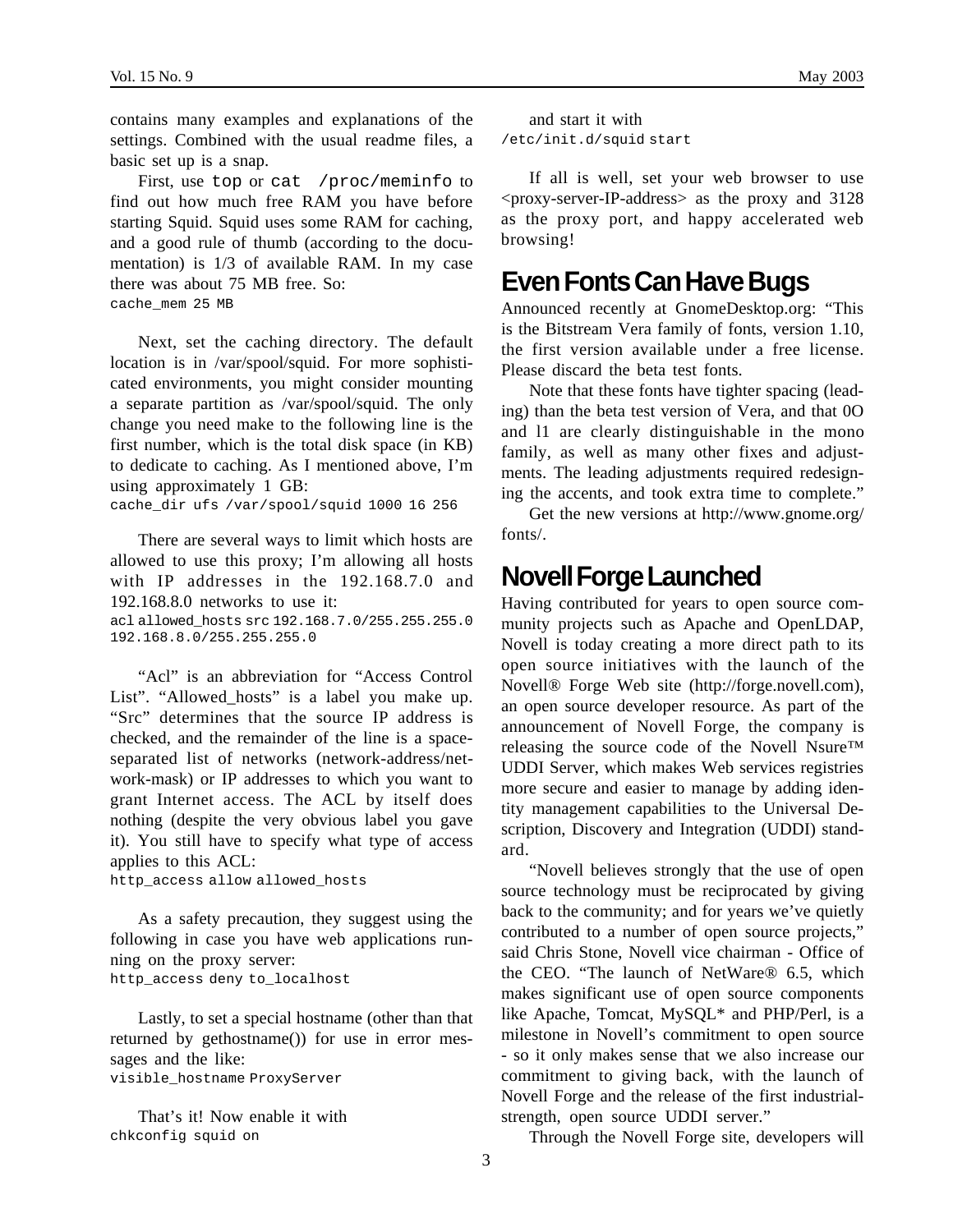contains many examples and explanations of the settings. Combined with the usual readme files, a basic set up is a snap.

First, use top or cat /proc/meminfo to find out how much free RAM you have before starting Squid. Squid uses some RAM for caching, and a good rule of thumb (according to the documentation) is 1/3 of available RAM. In my case there was about 75 MB free. So: cache\_mem 25 MB

Next, set the caching directory. The default location is in /var/spool/squid. For more sophisticated environments, you might consider mounting a separate partition as /var/spool/squid. The only change you need make to the following line is the first number, which is the total disk space (in KB) to dedicate to caching. As I mentioned above, I'm using approximately 1 GB:

cache\_dir ufs /var/spool/squid 1000 16 256

There are several ways to limit which hosts are allowed to use this proxy; I'm allowing all hosts with IP addresses in the 192.168.7.0 and 192.168.8.0 networks to use it:

acl allowed hosts src 192.168.7.0/255.255.255.0 192.168.8.0/255.255.255.0

"Acl" is an abbreviation for "Access Control List". "Allowed hosts" is a label you make up. "Src" determines that the source IP address is checked, and the remainder of the line is a spaceseparated list of networks (network-address/network-mask) or IP addresses to which you want to grant Internet access. The ACL by itself does nothing (despite the very obvious label you gave it). You still have to specify what type of access applies to this ACL:

```
http_access allow allowed_hosts
```
As a safety precaution, they suggest using the following in case you have web applications running on the proxy server: http\_access deny to\_localhost

Lastly, to set a special hostname (other than that returned by gethostname()) for use in error messages and the like:

visible\_hostname ProxyServer

That's it! Now enable it with chkconfig squid on

```
and start it with
/etc/init.d/squid start
```
If all is well, set your web browser to use <proxy-server-IP-address> as the proxy and 3128 as the proxy port, and happy accelerated web browsing!

#### **Even Fonts Can Have Bugs**

Announced recently at GnomeDesktop.org: "This is the Bitstream Vera family of fonts, version 1.10, the first version available under a free license. Please discard the beta test fonts.

Note that these fonts have tighter spacing (leading) than the beta test version of Vera, and that 0O and l1 are clearly distinguishable in the mono family, as well as many other fixes and adjustments. The leading adjustments required redesigning the accents, and took extra time to complete."

Get the new versions at http://www.gnome.org/ fonts/.

#### **Novell Forge Launched**

Having contributed for years to open source community projects such as Apache and OpenLDAP, Novell is today creating a more direct path to its open source initiatives with the launch of the Novell® Forge Web site (http://forge.novell.com), an open source developer resource. As part of the announcement of Novell Forge, the company is releasing the source code of the Novell Nsure™ UDDI Server, which makes Web services registries more secure and easier to manage by adding identity management capabilities to the Universal Description, Discovery and Integration (UDDI) standard.

"Novell believes strongly that the use of open source technology must be reciprocated by giving back to the community; and for years we've quietly contributed to a number of open source projects," said Chris Stone, Novell vice chairman - Office of the CEO. "The launch of NetWare® 6.5, which makes significant use of open source components like Apache, Tomcat, MySQL\* and PHP/Perl, is a milestone in Novell's commitment to open source - so it only makes sense that we also increase our commitment to giving back, with the launch of Novell Forge and the release of the first industrialstrength, open source UDDI server."

Through the Novell Forge site, developers will